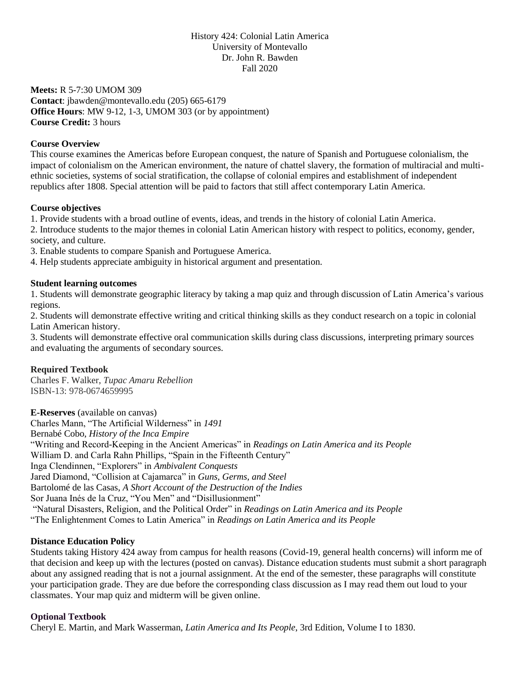## History 424: Colonial Latin America University of Montevallo Dr. John R. Bawden Fall 2020

**Meets:** R 5-7:30 UMOM 309 **Contact**: jbawden@montevallo.edu (205) 665-6179 **Office Hours**: MW 9-12, 1-3, UMOM 303 (or by appointment) **Course Credit:** 3 hours

## **Course Overview**

This course examines the Americas before European conquest, the nature of Spanish and Portuguese colonialism, the impact of colonialism on the American environment, the nature of chattel slavery, the formation of multiracial and multiethnic societies, systems of social stratification, the collapse of colonial empires and establishment of independent republics after 1808. Special attention will be paid to factors that still affect contemporary Latin America.

## **Course objectives**

1. Provide students with a broad outline of events, ideas, and trends in the history of colonial Latin America.

2. Introduce students to the major themes in colonial Latin American history with respect to politics, economy, gender, society, and culture.

3. Enable students to compare Spanish and Portuguese America.

4. Help students appreciate ambiguity in historical argument and presentation.

## **Student learning outcomes**

1. Students will demonstrate geographic literacy by taking a map quiz and through discussion of Latin America's various regions.

2. Students will demonstrate effective writing and critical thinking skills as they conduct research on a topic in colonial Latin American history.

3. Students will demonstrate effective oral communication skills during class discussions, interpreting primary sources and evaluating the arguments of secondary sources.

# **Required Textbook**

Charles F. Walker, *Tupac Amaru Rebellion* ISBN-13: 978-0674659995

**E-Reserves** (available on canvas) Charles Mann, "The Artificial Wilderness" in *1491* Bernabé Cobo, *History of the Inca Empire* "Writing and Record-Keeping in the Ancient Americas" in *Readings on Latin America and its People* William D. and Carla Rahn Phillips, "Spain in the Fifteenth Century" Inga Clendinnen, "Explorers" in *Ambivalent Conquests* Jared Diamond, "Collision at Cajamarca" in *Guns, Germs, and Steel* Bartolomé de las Casas, *A Short Account of the Destruction of the Indies* Sor Juana Inés de la Cruz, "You Men" and "Disillusionment" "Natural Disasters, Religion, and the Political Order" in *Readings on Latin America and its People* "The Enlightenment Comes to Latin America" in *Readings on Latin America and its People*

## **Distance Education Policy**

Students taking History 424 away from campus for health reasons (Covid-19, general health concerns) will inform me of that decision and keep up with the lectures (posted on canvas). Distance education students must submit a short paragraph about any assigned reading that is not a journal assignment. At the end of the semester, these paragraphs will constitute your participation grade. They are due before the corresponding class discussion as I may read them out loud to your classmates. Your map quiz and midterm will be given online.

## **Optional Textbook**

Cheryl E. Martin, and Mark Wasserman, *Latin America and Its People*, 3rd Edition, Volume I to 1830.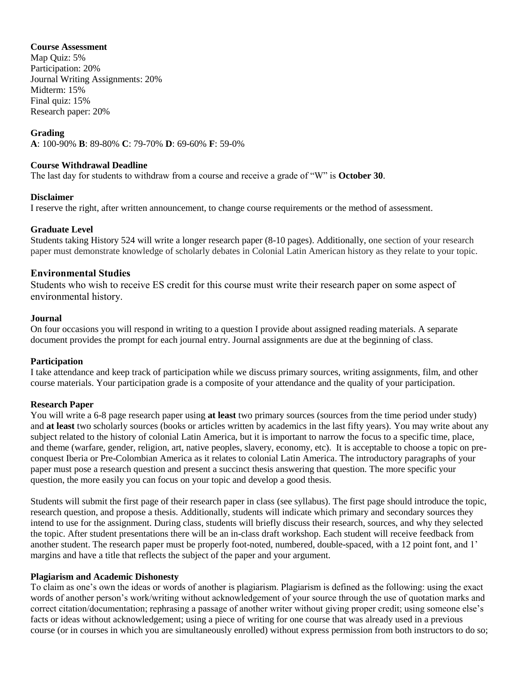## **Course Assessment**

Map Quiz: 5% Participation: 20% Journal Writing Assignments: 20% Midterm: 15% Final quiz: 15% Research paper: 20%

## **Grading**

**A**: 100-90% **B**: 89-80% **C**: 79-70% **D**: 69-60% **F**: 59-0%

### **Course Withdrawal Deadline**

The last day for students to withdraw from a course and receive a grade of "W" is **October 30**.

#### **Disclaimer**

I reserve the right, after written announcement, to change course requirements or the method of assessment.

## **Graduate Level**

Students taking History 524 will write a longer research paper (8-10 pages). Additionally, one section of your research paper must demonstrate knowledge of scholarly debates in Colonial Latin American history as they relate to your topic.

## **Environmental Studies**

Students who wish to receive ES credit for this course must write their research paper on some aspect of environmental history.

#### **Journal**

On four occasions you will respond in writing to a question I provide about assigned reading materials. A separate document provides the prompt for each journal entry. Journal assignments are due at the beginning of class.

## **Participation**

I take attendance and keep track of participation while we discuss primary sources, writing assignments, film, and other course materials. Your participation grade is a composite of your attendance and the quality of your participation.

## **Research Paper**

You will write a 6-8 page research paper using **at least** two primary sources (sources from the time period under study) and **at least** two scholarly sources (books or articles written by academics in the last fifty years). You may write about any subject related to the history of colonial Latin America, but it is important to narrow the focus to a specific time, place, and theme (warfare, gender, religion, art, native peoples, slavery, economy, etc). It is acceptable to choose a topic on preconquest Iberia or Pre-Colombian America as it relates to colonial Latin America. The introductory paragraphs of your paper must pose a research question and present a succinct thesis answering that question. The more specific your question, the more easily you can focus on your topic and develop a good thesis.

Students will submit the first page of their research paper in class (see syllabus). The first page should introduce the topic, research question, and propose a thesis. Additionally, students will indicate which primary and secondary sources they intend to use for the assignment. During class, students will briefly discuss their research, sources, and why they selected the topic. After student presentations there will be an in-class draft workshop. Each student will receive feedback from another student. The research paper must be properly foot-noted, numbered, double-spaced, with a 12 point font, and 1' margins and have a title that reflects the subject of the paper and your argument.

## **Plagiarism and Academic Dishonesty**

To claim as one's own the ideas or words of another is plagiarism. Plagiarism is defined as the following: using the exact words of another person's work/writing without acknowledgement of your source through the use of quotation marks and correct citation/documentation; rephrasing a passage of another writer without giving proper credit; using someone else's facts or ideas without acknowledgement; using a piece of writing for one course that was already used in a previous course (or in courses in which you are simultaneously enrolled) without express permission from both instructors to do so;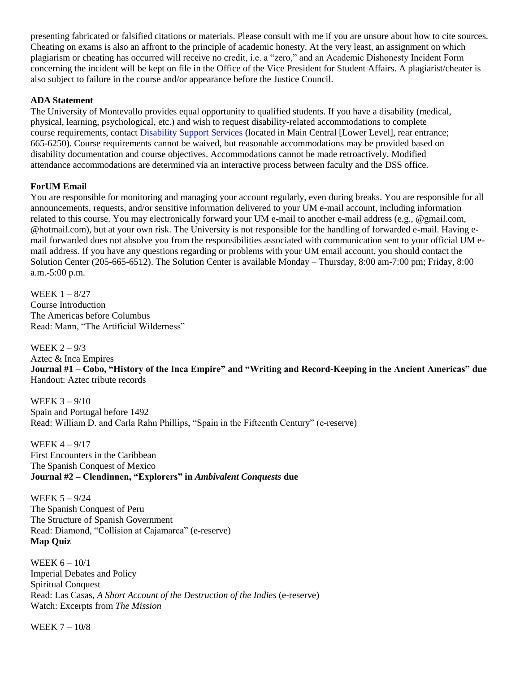presenting fabricated or falsified citations or materials. Please consult with me if you are unsure about how to cite sources. Cheating on exams is also an affront to the principle of academic honesty. At the very least, an assignment on which plagiarism or cheating has occurred will receive no credit, i.e. a "zero," and an Academic Dishonesty Incident Form concerning the incident will be kept on file in the Office of the Vice President for Student Affairs. A plagiarist/cheater is also subject to failure in the course and/or appearance before the Justice Council.

## **ADA Statement**

The University of Montevallo provides equal opportunity to qualified students. If you have a disability (medical, physical, learning, psychological, etc.) and wish to request disability-related accommodations to complete course requirements, contact [Disability Support Services](https://www.montevallo.edu/campus-life/student-services/disability-support-services/) (located in Main Central [Lower Level], rear entrance; 665-6250). Course requirements cannot be waived, but reasonable accommodations may be provided based on disability documentation and course objectives. Accommodations cannot be made retroactively. Modified attendance accommodations are determined via an interactive process between faculty and the DSS office.

## **ForUM Email**

You are responsible for monitoring and managing your account regularly, even during breaks. You are responsible for all announcements, requests, and/or sensitive information delivered to your UM e-mail account, including information related to this course. You may electronically forward your UM e-mail to another e-mail address (e.g., @gmail.com, @hotmail.com), but at your own risk. The University is not responsible for the handling of forwarded e-mail. Having email forwarded does not absolve you from the responsibilities associated with communication sent to your official UM email address. If you have any questions regarding or problems with your UM email account, you should contact the Solution Center (205-665-6512). The Solution Center is available Monday – Thursday, 8:00 am-7:00 pm; Friday, 8:00 a.m.-5:00 p.m.

WEEK 1 – 8/27 Course Introduction The Americas before Columbus Read: Mann, "The Artificial Wilderness"

WEEK  $2 - 9/3$ Aztec & Inca Empires **Journal #1 – Cobo, "History of the Inca Empire" and "Writing and Record-Keeping in the Ancient Americas" due** Handout: Aztec tribute records

WEEK 3 – 9/10 Spain and Portugal before 1492 Read: William D. and Carla Rahn Phillips, "Spain in the Fifteenth Century" (e-reserve)

WEEK 4 – 9/17 First Encounters in the Caribbean The Spanish Conquest of Mexico **Journal #2 – Clendinnen, "Explorers" in** *Ambivalent Conquests* **due** 

WEEK 5 – 9/24 The Spanish Conquest of Peru The Structure of Spanish Government Read: Diamond, "Collision at Cajamarca" (e-reserve) **Map Quiz**

WEEK 6 – 10/1 Imperial Debates and Policy Spiritual Conquest Read: Las Casas, *A Short Account of the Destruction of the Indies* (e-reserve) Watch: Excerpts from *The Mission*

WEEK 7 – 10/8